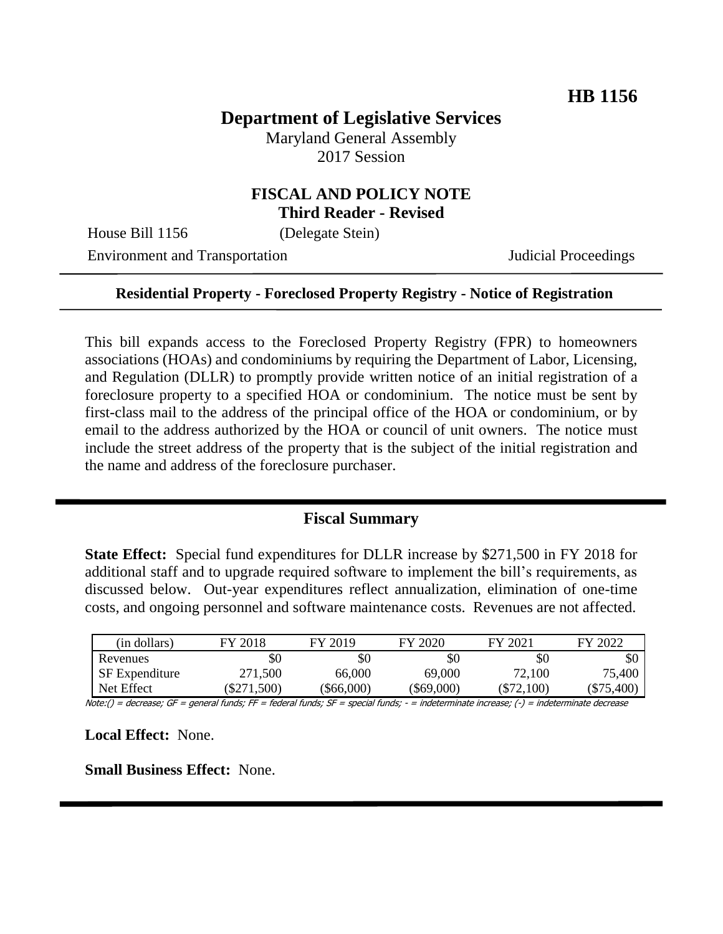# **Department of Legislative Services**

Maryland General Assembly 2017 Session

#### **FISCAL AND POLICY NOTE Third Reader - Revised**

House Bill 1156 (Delegate Stein)

Environment and Transportation Judicial Proceedings

#### **Residential Property - Foreclosed Property Registry - Notice of Registration**

This bill expands access to the Foreclosed Property Registry (FPR) to homeowners associations (HOAs) and condominiums by requiring the Department of Labor, Licensing, and Regulation (DLLR) to promptly provide written notice of an initial registration of a foreclosure property to a specified HOA or condominium. The notice must be sent by first-class mail to the address of the principal office of the HOA or condominium, or by email to the address authorized by the HOA or council of unit owners. The notice must include the street address of the property that is the subject of the initial registration and the name and address of the foreclosure purchaser.

#### **Fiscal Summary**

**State Effect:** Special fund expenditures for DLLR increase by \$271,500 in FY 2018 for additional staff and to upgrade required software to implement the bill's requirements, as discussed below. Out-year expenditures reflect annualization, elimination of one-time costs, and ongoing personnel and software maintenance costs. Revenues are not affected.

| (in dollars)          | FY 2018       | FY 2019  | FY 2020    | FY 2021      | FY 2022      |
|-----------------------|---------------|----------|------------|--------------|--------------|
| Revenues              | \$0           | \$0      | \$0        | \$0          | \$0          |
| <b>SF</b> Expenditure | 271,500       | 66,000   | 69,000     | 72,100       | 75,400       |
| Net Effect            | $(\$271,500)$ | \$66,000 | (\$69,000) | $(\$72,100)$ | $(\$75,400)$ |

Note:() = decrease; GF = general funds; FF = federal funds; SF = special funds; - = indeterminate increase; (-) = indeterminate decrease

**Local Effect:** None.

**Small Business Effect:** None.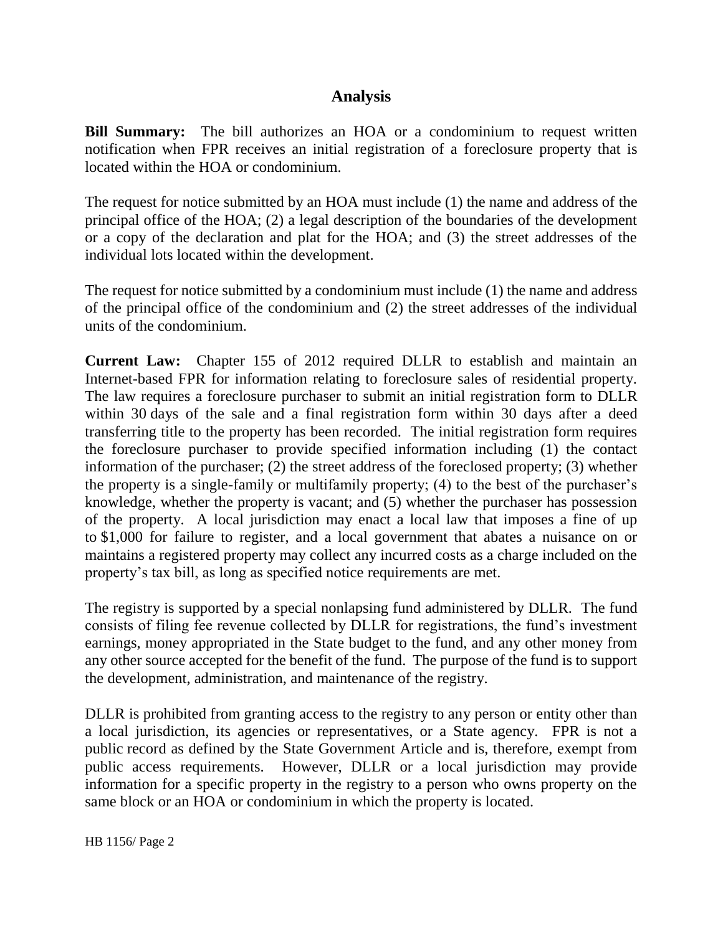## **Analysis**

**Bill Summary:** The bill authorizes an HOA or a condominium to request written notification when FPR receives an initial registration of a foreclosure property that is located within the HOA or condominium.

The request for notice submitted by an HOA must include (1) the name and address of the principal office of the HOA; (2) a legal description of the boundaries of the development or a copy of the declaration and plat for the HOA; and (3) the street addresses of the individual lots located within the development.

The request for notice submitted by a condominium must include (1) the name and address of the principal office of the condominium and (2) the street addresses of the individual units of the condominium.

**Current Law:** Chapter 155 of 2012 required DLLR to establish and maintain an Internet-based FPR for information relating to foreclosure sales of residential property. The law requires a foreclosure purchaser to submit an initial registration form to DLLR within 30 days of the sale and a final registration form within 30 days after a deed transferring title to the property has been recorded. The initial registration form requires the foreclosure purchaser to provide specified information including (1) the contact information of the purchaser; (2) the street address of the foreclosed property; (3) whether the property is a single-family or multifamily property; (4) to the best of the purchaser's knowledge, whether the property is vacant; and (5) whether the purchaser has possession of the property. A local jurisdiction may enact a local law that imposes a fine of up to \$1,000 for failure to register, and a local government that abates a nuisance on or maintains a registered property may collect any incurred costs as a charge included on the property's tax bill, as long as specified notice requirements are met.

The registry is supported by a special nonlapsing fund administered by DLLR. The fund consists of filing fee revenue collected by DLLR for registrations, the fund's investment earnings, money appropriated in the State budget to the fund, and any other money from any other source accepted for the benefit of the fund. The purpose of the fund is to support the development, administration, and maintenance of the registry.

DLLR is prohibited from granting access to the registry to any person or entity other than a local jurisdiction, its agencies or representatives, or a State agency. FPR is not a public record as defined by the State Government Article and is, therefore, exempt from public access requirements. However, DLLR or a local jurisdiction may provide information for a specific property in the registry to a person who owns property on the same block or an HOA or condominium in which the property is located.

HB 1156/ Page 2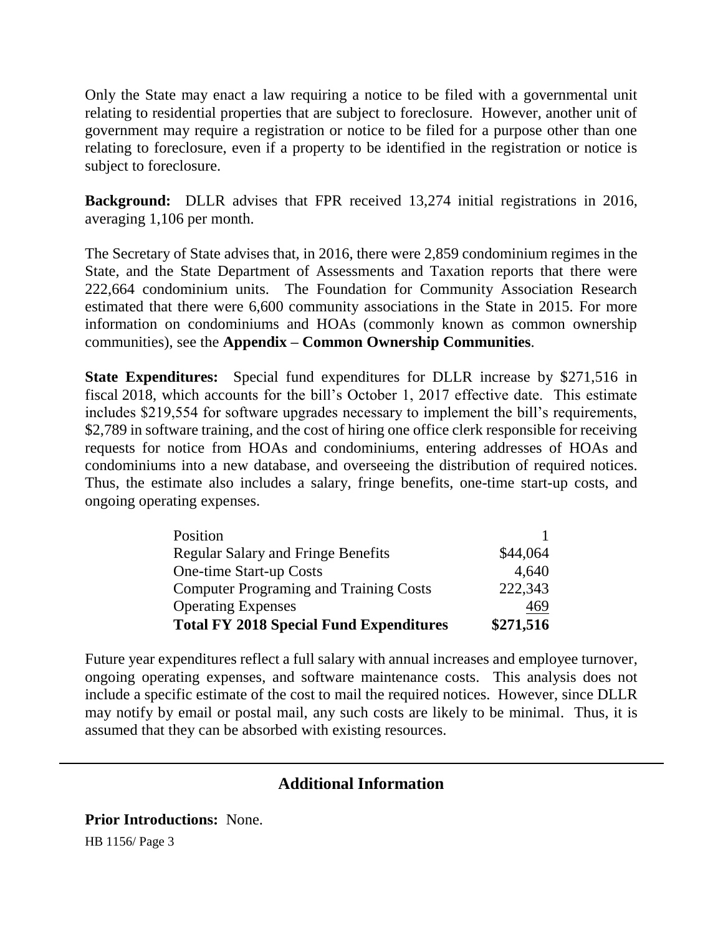Only the State may enact a law requiring a notice to be filed with a governmental unit relating to residential properties that are subject to foreclosure. However, another unit of government may require a registration or notice to be filed for a purpose other than one relating to foreclosure, even if a property to be identified in the registration or notice is subject to foreclosure.

**Background:** DLLR advises that FPR received 13,274 initial registrations in 2016, averaging 1,106 per month.

The Secretary of State advises that, in 2016, there were 2,859 condominium regimes in the State, and the State Department of Assessments and Taxation reports that there were 222,664 condominium units. The Foundation for Community Association Research estimated that there were 6,600 community associations in the State in 2015. For more information on condominiums and HOAs (commonly known as common ownership communities), see the **Appendix – Common Ownership Communities**.

**State Expenditures:** Special fund expenditures for DLLR increase by \$271,516 in fiscal 2018, which accounts for the bill's October 1, 2017 effective date. This estimate includes \$219,554 for software upgrades necessary to implement the bill's requirements, \$2,789 in software training, and the cost of hiring one office clerk responsible for receiving requests for notice from HOAs and condominiums, entering addresses of HOAs and condominiums into a new database, and overseeing the distribution of required notices. Thus, the estimate also includes a salary, fringe benefits, one-time start-up costs, and ongoing operating expenses.

| Position                                       |           |
|------------------------------------------------|-----------|
| <b>Regular Salary and Fringe Benefits</b>      | \$44,064  |
| One-time Start-up Costs                        | 4,640     |
| <b>Computer Programing and Training Costs</b>  | 222,343   |
| <b>Operating Expenses</b>                      | 469       |
| <b>Total FY 2018 Special Fund Expenditures</b> | \$271,516 |

Future year expenditures reflect a full salary with annual increases and employee turnover, ongoing operating expenses, and software maintenance costs. This analysis does not include a specific estimate of the cost to mail the required notices. However, since DLLR may notify by email or postal mail, any such costs are likely to be minimal. Thus, it is assumed that they can be absorbed with existing resources.

# **Additional Information**

**Prior Introductions:** None.

HB 1156/ Page 3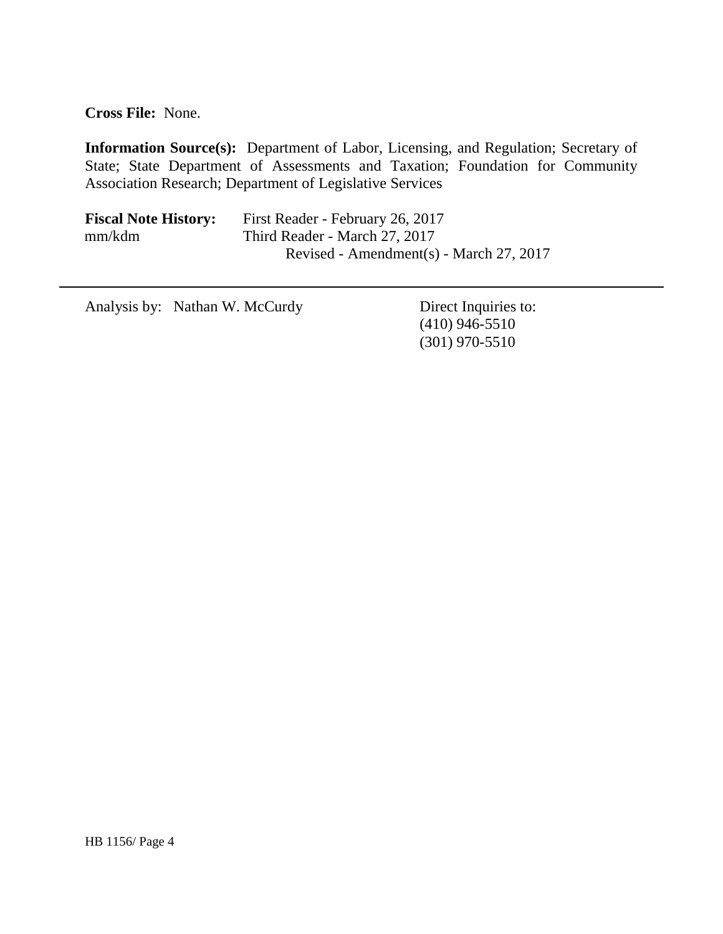**Cross File:** None.

**Information Source(s):** Department of Labor, Licensing, and Regulation; Secretary of State; State Department of Assessments and Taxation; Foundation for Community Association Research; Department of Legislative Services

| <b>Fiscal Note History:</b> | First Reader - February 26, 2017        |
|-----------------------------|-----------------------------------------|
| mm/kdm                      | Third Reader - March 27, 2017           |
|                             | Revised - Amendment(s) - March 27, 2017 |

Analysis by: Nathan W. McCurdy Direct Inquiries to:

(410) 946-5510 (301) 970-5510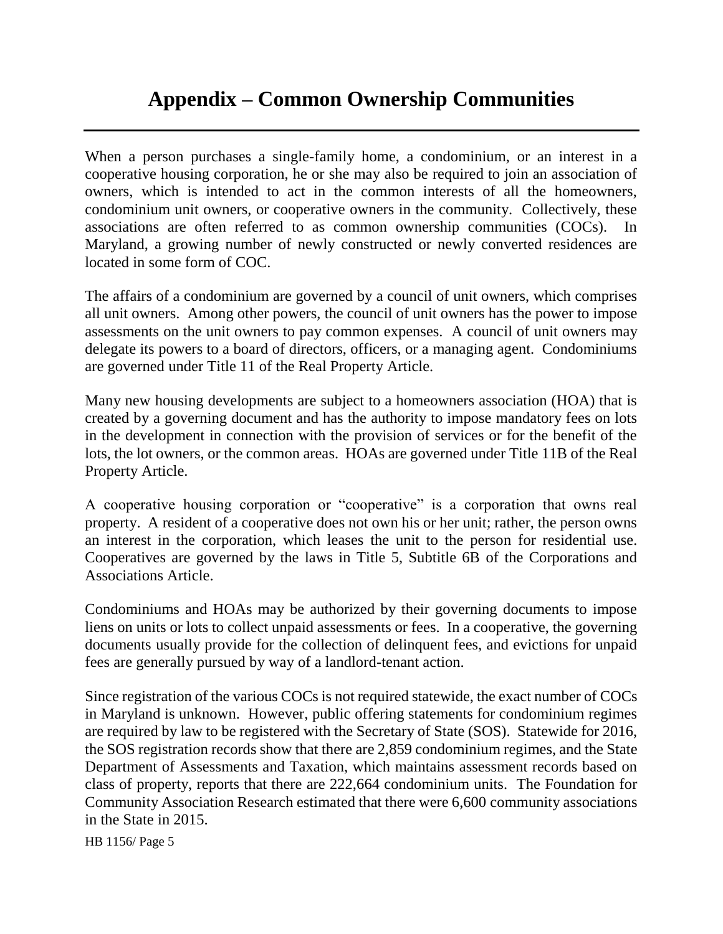# **Appendix – Common Ownership Communities**

When a person purchases a single-family home, a condominium, or an interest in a cooperative housing corporation, he or she may also be required to join an association of owners, which is intended to act in the common interests of all the homeowners, condominium unit owners, or cooperative owners in the community. Collectively, these associations are often referred to as common ownership communities (COCs). Maryland, a growing number of newly constructed or newly converted residences are located in some form of COC.

The affairs of a condominium are governed by a council of unit owners, which comprises all unit owners. Among other powers, the council of unit owners has the power to impose assessments on the unit owners to pay common expenses. A council of unit owners may delegate its powers to a board of directors, officers, or a managing agent. Condominiums are governed under Title 11 of the Real Property Article.

Many new housing developments are subject to a homeowners association (HOA) that is created by a governing document and has the authority to impose mandatory fees on lots in the development in connection with the provision of services or for the benefit of the lots, the lot owners, or the common areas. HOAs are governed under Title 11B of the Real Property Article.

A cooperative housing corporation or "cooperative" is a corporation that owns real property. A resident of a cooperative does not own his or her unit; rather, the person owns an interest in the corporation, which leases the unit to the person for residential use. Cooperatives are governed by the laws in Title 5, Subtitle 6B of the Corporations and Associations Article.

Condominiums and HOAs may be authorized by their governing documents to impose liens on units or lots to collect unpaid assessments or fees. In a cooperative, the governing documents usually provide for the collection of delinquent fees, and evictions for unpaid fees are generally pursued by way of a landlord-tenant action.

Since registration of the various COCs is not required statewide, the exact number of COCs in Maryland is unknown. However, public offering statements for condominium regimes are required by law to be registered with the Secretary of State (SOS). Statewide for 2016, the SOS registration records show that there are 2,859 condominium regimes, and the State Department of Assessments and Taxation, which maintains assessment records based on class of property, reports that there are 222,664 condominium units. The Foundation for Community Association Research estimated that there were 6,600 community associations in the State in 2015.

HB 1156/ Page 5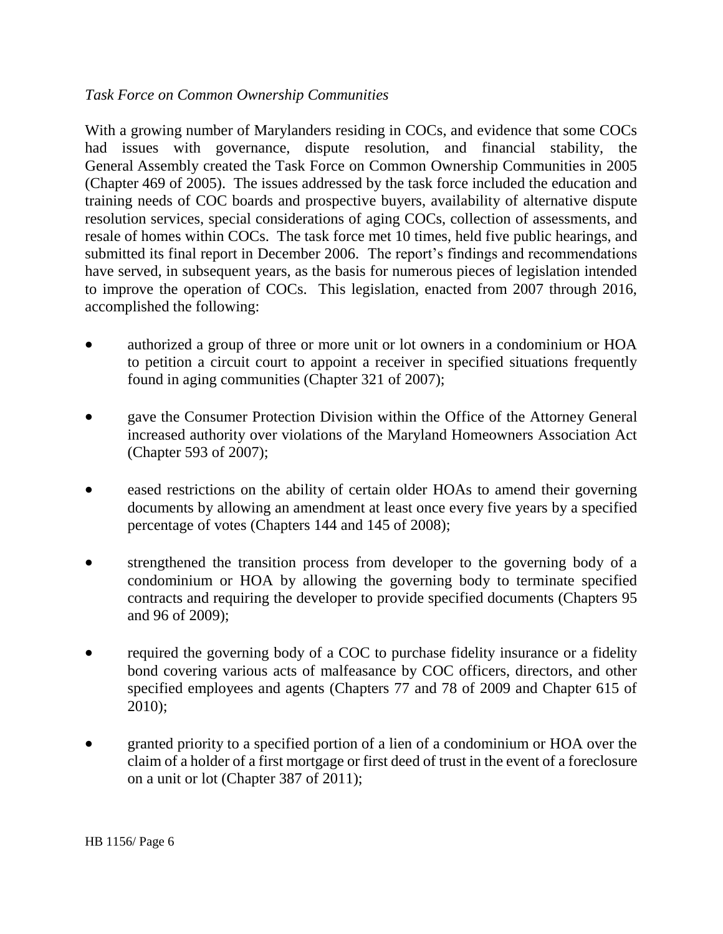### *Task Force on Common Ownership Communities*

With a growing number of Marylanders residing in COCs, and evidence that some COCs had issues with governance, dispute resolution, and financial stability, the General Assembly created the Task Force on Common Ownership Communities in 2005 (Chapter 469 of 2005). The issues addressed by the task force included the education and training needs of COC boards and prospective buyers, availability of alternative dispute resolution services, special considerations of aging COCs, collection of assessments, and resale of homes within COCs. The task force met 10 times, held five public hearings, and submitted its final report in December 2006. The report's findings and recommendations have served, in subsequent years, as the basis for numerous pieces of legislation intended to improve the operation of COCs. This legislation, enacted from 2007 through 2016, accomplished the following:

- authorized a group of three or more unit or lot owners in a condominium or HOA to petition a circuit court to appoint a receiver in specified situations frequently found in aging communities (Chapter 321 of 2007);
- gave the Consumer Protection Division within the Office of the Attorney General increased authority over violations of the Maryland Homeowners Association Act (Chapter 593 of 2007);
- eased restrictions on the ability of certain older HOAs to amend their governing documents by allowing an amendment at least once every five years by a specified percentage of votes (Chapters 144 and 145 of 2008);
- strengthened the transition process from developer to the governing body of a condominium or HOA by allowing the governing body to terminate specified contracts and requiring the developer to provide specified documents (Chapters 95 and 96 of 2009);
- required the governing body of a COC to purchase fidelity insurance or a fidelity bond covering various acts of malfeasance by COC officers, directors, and other specified employees and agents (Chapters 77 and 78 of 2009 and Chapter 615 of 2010);
- granted priority to a specified portion of a lien of a condominium or HOA over the claim of a holder of a first mortgage or first deed of trust in the event of a foreclosure on a unit or lot (Chapter 387 of 2011);